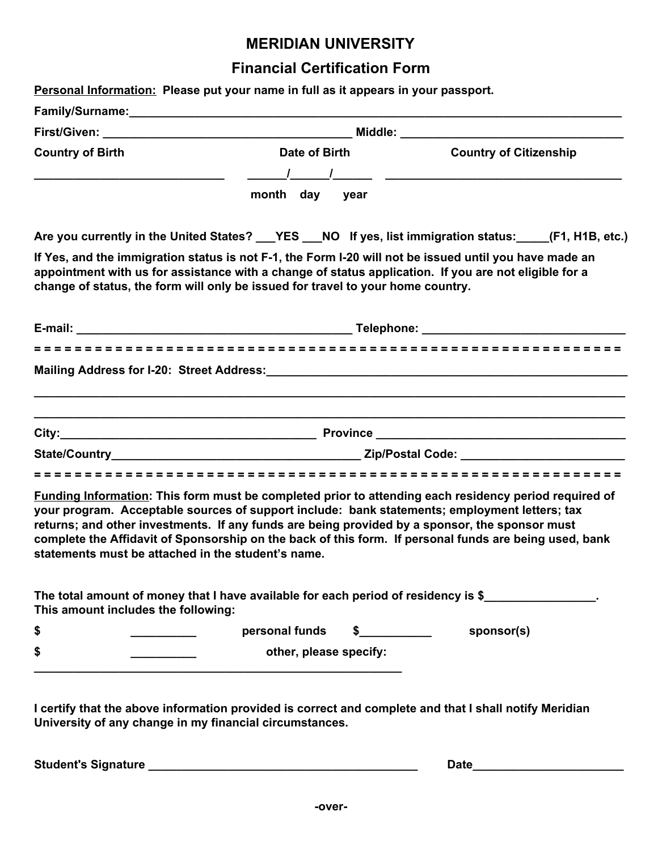## **MERIDIAN UNIVERSITY**

# **Financial Certification Form**

| Personal Information: Please put your name in full as it appears in your passport.                                                                                                                                                                                                                                                                                                                                                                                              |                                    |               |                               |  |
|---------------------------------------------------------------------------------------------------------------------------------------------------------------------------------------------------------------------------------------------------------------------------------------------------------------------------------------------------------------------------------------------------------------------------------------------------------------------------------|------------------------------------|---------------|-------------------------------|--|
|                                                                                                                                                                                                                                                                                                                                                                                                                                                                                 |                                    |               |                               |  |
|                                                                                                                                                                                                                                                                                                                                                                                                                                                                                 |                                    |               |                               |  |
| <b>Country of Birth</b>                                                                                                                                                                                                                                                                                                                                                                                                                                                         | Date of Birth <b>Exercise 2018</b> |               | <b>Country of Citizenship</b> |  |
|                                                                                                                                                                                                                                                                                                                                                                                                                                                                                 |                                    |               |                               |  |
|                                                                                                                                                                                                                                                                                                                                                                                                                                                                                 | month day year                     |               |                               |  |
| Are you currently in the United States? __YES __NO If yes, list immigration status: ____(F1, H1B, etc.)                                                                                                                                                                                                                                                                                                                                                                         |                                    |               |                               |  |
| If Yes, and the immigration status is not F-1, the Form I-20 will not be issued until you have made an<br>appointment with us for assistance with a change of status application. If you are not eligible for a<br>change of status, the form will only be issued for travel to your home country.                                                                                                                                                                              |                                    |               |                               |  |
|                                                                                                                                                                                                                                                                                                                                                                                                                                                                                 |                                    |               |                               |  |
|                                                                                                                                                                                                                                                                                                                                                                                                                                                                                 |                                    |               |                               |  |
| Mailing Address for I-20: Street Address: National Control of the Control of the Control of the Control of the                                                                                                                                                                                                                                                                                                                                                                  |                                    |               |                               |  |
|                                                                                                                                                                                                                                                                                                                                                                                                                                                                                 |                                    |               |                               |  |
|                                                                                                                                                                                                                                                                                                                                                                                                                                                                                 |                                    |               |                               |  |
|                                                                                                                                                                                                                                                                                                                                                                                                                                                                                 |                                    |               |                               |  |
|                                                                                                                                                                                                                                                                                                                                                                                                                                                                                 |                                    |               |                               |  |
| <b>Funding Information:</b> This form must be completed prior to attending each residency period required of<br>your program. Acceptable sources of support include: bank statements; employment letters; tax<br>returns; and other investments. If any funds are being provided by a sponsor, the sponsor must<br>complete the Affidavit of Sponsorship on the back of this form. If personal funds are being used, bank<br>statements must be attached in the student's name. |                                    |               |                               |  |
| The total amount of money that I have available for each period of residency is \$<br>This amount includes the following:                                                                                                                                                                                                                                                                                                                                                       |                                    |               |                               |  |
| \$                                                                                                                                                                                                                                                                                                                                                                                                                                                                              | personal funds                     | $\frac{1}{2}$ | sponsor(s)                    |  |
| \$                                                                                                                                                                                                                                                                                                                                                                                                                                                                              | other, please specify:             |               |                               |  |
|                                                                                                                                                                                                                                                                                                                                                                                                                                                                                 |                                    |               |                               |  |
|                                                                                                                                                                                                                                                                                                                                                                                                                                                                                 |                                    |               |                               |  |
| I certify that the above information provided is correct and complete and that I shall notify Meridian<br>University of any change in my financial circumstances.                                                                                                                                                                                                                                                                                                               |                                    |               |                               |  |

**Student's Signature \_\_\_\_\_\_\_\_\_\_\_\_\_\_\_\_\_\_\_\_\_\_\_\_\_\_\_\_\_\_\_\_\_\_\_\_\_\_\_\_\_ Date\_\_\_\_\_\_\_\_\_\_\_\_\_\_\_\_\_\_\_\_\_\_\_**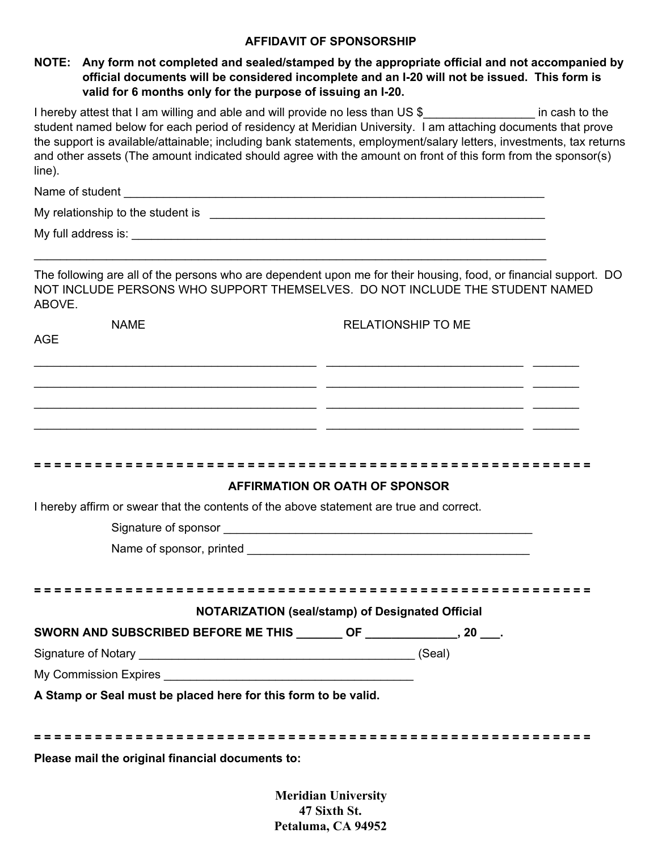#### **AFFIDAVIT OF SPONSORSHIP**

#### **NOTE: Any form not completed and sealed/stamped by the appropriate official and not accompanied by official documents will be considered incomplete and an I-20 will not be issued. This form is valid for 6 months only for the purpose of issuing an I-20.**

I hereby attest that I am willing and able and will provide no less than US \$ The same in cash to the student named below for each period of residency at Meridian University. I am attaching documents that prove the support is available/attainable; including bank statements, employment/salary letters, investments, tax returns and other assets (The amount indicated should agree with the amount on front of this form from the sponsor(s) line).

| Name of student                   |  |
|-----------------------------------|--|
| My relationship to the student is |  |
| My full address is:               |  |

\_\_\_\_\_\_\_\_\_\_\_\_\_\_\_\_\_\_\_\_\_\_\_\_\_\_\_\_\_\_\_\_\_\_\_\_\_\_\_\_\_\_\_\_\_\_\_\_\_\_\_\_\_\_\_\_\_\_\_\_\_\_\_\_\_\_\_\_\_\_\_\_\_\_\_\_\_\_

The following are all of the persons who are dependent upon me for their housing, food, or financial support. DO NOT INCLUDE PERSONS WHO SUPPORT THEMSELVES. DO NOT INCLUDE THE STUDENT NAMED ABOVE.

| <b>NAME</b>                                                                                                                                                                                                                          | <b>RELATIONSHIP TO ME</b>                                        |
|--------------------------------------------------------------------------------------------------------------------------------------------------------------------------------------------------------------------------------------|------------------------------------------------------------------|
| <b>AGE</b>                                                                                                                                                                                                                           |                                                                  |
|                                                                                                                                                                                                                                      | <u> 1999 - Johann John Stone, Amerikaansk politiker (* 1908)</u> |
|                                                                                                                                                                                                                                      |                                                                  |
| <u> 1999 - Johann Harry Harry Harry Harry Holly (1999), and the control of the control of the control of the control of the control of the control of the control of the control of the control of the control of the control of</u> |                                                                  |
| <u> 1999 - Johann John Harry Harry Harry Harry Harry Harry Harry Harry Harry Harry Harry Harry Harry Harry Harry</u>                                                                                                                 |                                                                  |
|                                                                                                                                                                                                                                      |                                                                  |
|                                                                                                                                                                                                                                      |                                                                  |
|                                                                                                                                                                                                                                      | AFFIRMATION OR OATH OF SPONSOR                                   |
| I hereby affirm or swear that the contents of the above statement are true and correct.                                                                                                                                              |                                                                  |
|                                                                                                                                                                                                                                      |                                                                  |
|                                                                                                                                                                                                                                      |                                                                  |
|                                                                                                                                                                                                                                      |                                                                  |
|                                                                                                                                                                                                                                      |                                                                  |
|                                                                                                                                                                                                                                      | NOTARIZATION (seal/stamp) of Designated Official                 |
| SWORN AND SUBSCRIBED BEFORE ME THIS ________ OF _______________, 20 ___.                                                                                                                                                             |                                                                  |
|                                                                                                                                                                                                                                      |                                                                  |
|                                                                                                                                                                                                                                      |                                                                  |
| A Stamp or Seal must be placed here for this form to be valid.                                                                                                                                                                       |                                                                  |
|                                                                                                                                                                                                                                      |                                                                  |
|                                                                                                                                                                                                                                      |                                                                  |
| Please mail the original financial documents to:                                                                                                                                                                                     |                                                                  |
|                                                                                                                                                                                                                                      |                                                                  |

**Meridian University 47 Sixth St. Petaluma, CA 94952**